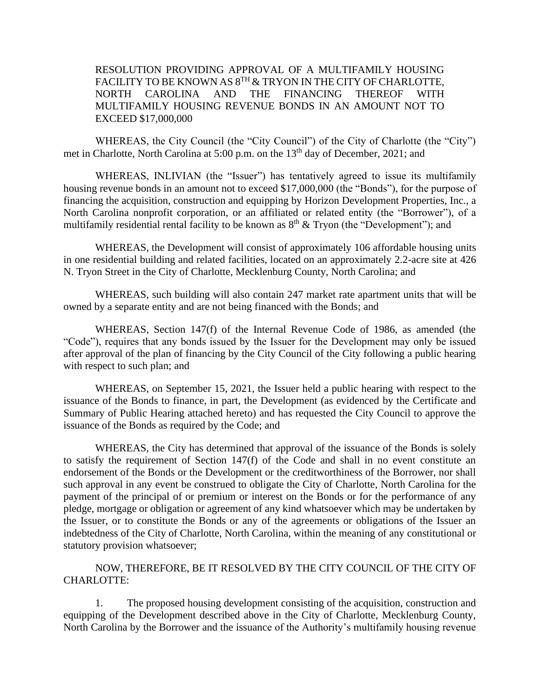RESOLUTION PROVIDING APPROVAL OF A MULTIFAMILY HOUSING FACILITY TO BE KNOWN AS  $8^{\mathrm{TH}}$  & TRYON IN THE CITY OF CHARLOTTE, NORTH CAROLINA AND THE FINANCING THEREOF WITH MULTIFAMILY HOUSING REVENUE BONDS IN AN AMOUNT NOT TO EXCEED \$17,000,000

WHEREAS, the City Council (the "City Council") of the City of Charlotte (the "City") met in Charlotte, North Carolina at 5:00 p.m. on the 13<sup>th</sup> day of December, 2021; and

WHEREAS, INLIVIAN (the "Issuer") has tentatively agreed to issue its multifamily housing revenue bonds in an amount not to exceed \$17,000,000 (the "Bonds"), for the purpose of financing the acquisition, construction and equipping by Horizon Development Properties, Inc., a North Carolina nonprofit corporation, or an affiliated or related entity (the "Borrower"), of a multifamily residential rental facility to be known as  $8<sup>th</sup>$  & Tryon (the "Development"); and

WHEREAS, the Development will consist of approximately 106 affordable housing units in one residential building and related facilities, located on an approximately 2.2-acre site at 426 N. Tryon Street in the City of Charlotte, Mecklenburg County, North Carolina; and

WHEREAS, such building will also contain 247 market rate apartment units that will be owned by a separate entity and are not being financed with the Bonds; and

WHEREAS, Section 147(f) of the Internal Revenue Code of 1986, as amended (the "Code"), requires that any bonds issued by the Issuer for the Development may only be issued after approval of the plan of financing by the City Council of the City following a public hearing with respect to such plan; and

WHEREAS, on September 15, 2021, the Issuer held a public hearing with respect to the issuance of the Bonds to finance, in part, the Development (as evidenced by the Certificate and Summary of Public Hearing attached hereto) and has requested the City Council to approve the issuance of the Bonds as required by the Code; and

WHEREAS, the City has determined that approval of the issuance of the Bonds is solely to satisfy the requirement of Section 147(f) of the Code and shall in no event constitute an endorsement of the Bonds or the Development or the creditworthiness of the Borrower, nor shall such approval in any event be construed to obligate the City of Charlotte, North Carolina for the payment of the principal of or premium or interest on the Bonds or for the performance of any pledge, mortgage or obligation or agreement of any kind whatsoever which may be undertaken by the Issuer, or to constitute the Bonds or any of the agreements or obligations of the Issuer an indebtedness of the City of Charlotte, North Carolina, within the meaning of any constitutional or statutory provision whatsoever;

NOW, THEREFORE, BE IT RESOLVED BY THE CITY COUNCIL OF THE CITY OF CHARLOTTE:

1. The proposed housing development consisting of the acquisition, construction and equipping of the Development described above in the City of Charlotte, Mecklenburg County, North Carolina by the Borrower and the issuance of the Authority's multifamily housing revenue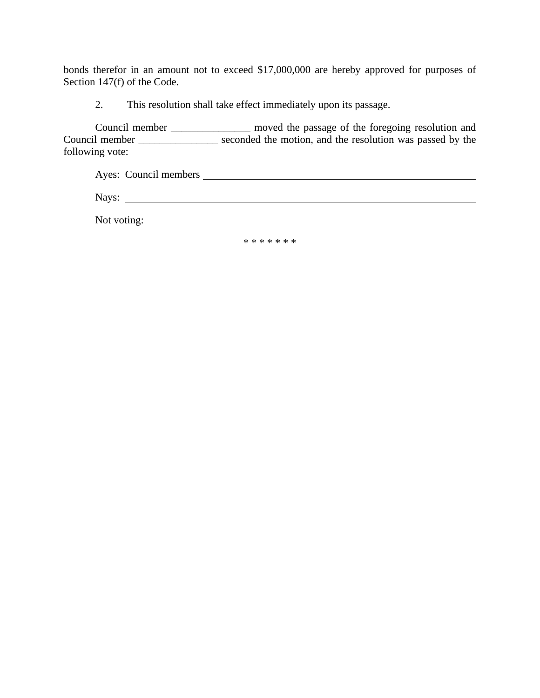bonds therefor in an amount not to exceed \$17,000,000 are hereby approved for purposes of Section 147(f) of the Code.

2. This resolution shall take effect immediately upon its passage.

Council member \_\_\_\_\_\_\_\_\_\_\_\_\_\_\_ moved the passage of the foregoing resolution and Council member \_\_\_\_\_\_\_\_\_\_\_\_\_\_\_ seconded the motion, and the resolution was passed by the following vote:

|             | Ayes: Council members |
|-------------|-----------------------|
| Nays:       |                       |
| Not voting: |                       |

\* \* \* \* \* \* \*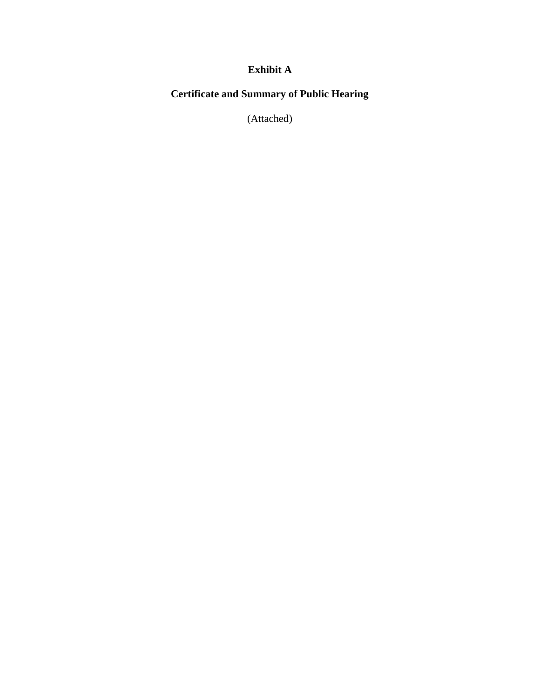## **Exhibit A**

## **Certificate and Summary of Public Hearing**

(Attached)